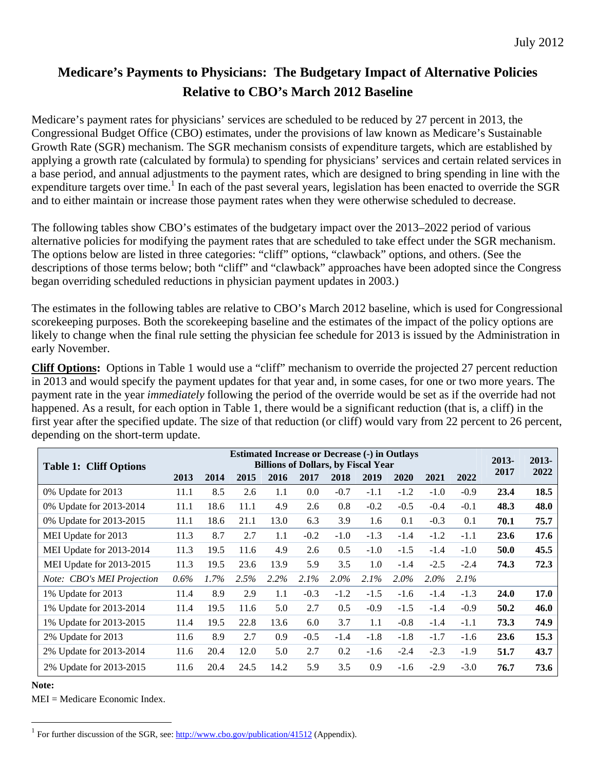## **Medicare's Payments to Physicians: The Budgetary Impact of Alternative Policies Relative to CBO's March 2012 Baseline**

Medicare's payment rates for physicians' services are scheduled to be reduced by 27 percent in 2013, the Congressional Budget Office (CBO) estimates, under the provisions of law known as Medicare's Sustainable Growth Rate (SGR) mechanism. The SGR mechanism consists of expenditure targets, which are established by applying a growth rate (calculated by formula) to spending for physicians' services and certain related services in a base period, and annual adjustments to the payment rates, which are designed to bring spending in line with the expenditure targets over time.<sup>1</sup> In each of the past several years, legislation has been enacted to override the SGR and to either maintain or increase those payment rates when they were otherwise scheduled to decrease.

The following tables show CBO's estimates of the budgetary impact over the 2013–2022 period of various alternative policies for modifying the payment rates that are scheduled to take effect under the SGR mechanism. The options below are listed in three categories: "cliff" options, "clawback" options, and others. (See the descriptions of those terms below; both "cliff" and "clawback" approaches have been adopted since the Congress began overriding scheduled reductions in physician payment updates in 2003.)

The estimates in the following tables are relative to CBO's March 2012 baseline, which is used for Congressional scorekeeping purposes. Both the scorekeeping baseline and the estimates of the impact of the policy options are likely to change when the final rule setting the physician fee schedule for 2013 is issued by the Administration in early November.

**Cliff Options:** Options in Table 1 would use a "cliff" mechanism to override the projected 27 percent reduction in 2013 and would specify the payment updates for that year and, in some cases, for one or two more years. The payment rate in the year *immediately* following the period of the override would be set as if the override had not happened. As a result, for each option in Table 1, there would be a significant reduction (that is, a cliff) in the first year after the specified update. The size of that reduction (or cliff) would vary from 22 percent to 26 percent, depending on the short-term update.

| <b>Table 1: Cliff Options</b> | <b>Estimated Increase or Decrease (-) in Outlays</b><br><b>Billions of Dollars, by Fiscal Year</b> |      |      |      |        |        |        |         |         |         | 2013-       | $2013-$ |
|-------------------------------|----------------------------------------------------------------------------------------------------|------|------|------|--------|--------|--------|---------|---------|---------|-------------|---------|
|                               | 2013                                                                                               | 2014 | 2015 | 2016 | 2017   | 2018   | 2019   | 2020    | 2021    | 2022    | 2017        | 2022    |
| 0% Update for 2013            | 11.1                                                                                               | 8.5  | 2.6  | 1.1  | 0.0    | $-0.7$ | $-1.1$ | $-1.2$  | $-1.0$  | $-0.9$  | 23.4        | 18.5    |
| 0% Update for 2013-2014       | 11.1                                                                                               | 18.6 | 11.1 | 4.9  | 2.6    | 0.8    | $-0.2$ | $-0.5$  | $-0.4$  | $-0.1$  | 48.3        | 48.0    |
| 0% Update for 2013-2015       | 11.1                                                                                               | 18.6 | 21.1 | 13.0 | 6.3    | 3.9    | 1.6    | 0.1     | $-0.3$  | 0.1     | 70.1        | 75.7    |
| MEI Update for 2013           | 11.3                                                                                               | 8.7  | 2.7  | 1.1  | $-0.2$ | $-1.0$ | $-1.3$ | $-1.4$  | $-1.2$  | $-1.1$  | 23.6        | 17.6    |
| MEI Update for 2013-2014      | 11.3                                                                                               | 19.5 | 11.6 | 4.9  | 2.6    | 0.5    | $-1.0$ | $-1.5$  | $-1.4$  | $-1.0$  | 50.0        | 45.5    |
| MEI Update for 2013-2015      | 11.3                                                                                               | 19.5 | 23.6 | 13.9 | 5.9    | 3.5    | 1.0    | $-1.4$  | $-2.5$  | $-2.4$  | 74.3        | 72.3    |
| Note: CBO's MEI Projection    | $0.6\%$                                                                                            | 1.7% | 2.5% | 2.2% | 2.1%   | 2.0%   | 2.1%   | $2.0\%$ | $2.0\%$ | $2.1\%$ |             |         |
| 1% Update for 2013            | 11.4                                                                                               | 8.9  | 2.9  | 1.1  | $-0.3$ | $-1.2$ | $-1.5$ | $-1.6$  | $-1.4$  | $-1.3$  | <b>24.0</b> | 17.0    |
| 1% Update for 2013-2014       | 11.4                                                                                               | 19.5 | 11.6 | 5.0  | 2.7    | 0.5    | $-0.9$ | $-1.5$  | $-1.4$  | $-0.9$  | 50.2        | 46.0    |
| 1% Update for 2013-2015       | 11.4                                                                                               | 19.5 | 22.8 | 13.6 | 6.0    | 3.7    | 1.1    | $-0.8$  | $-1.4$  | $-1.1$  | 73.3        | 74.9    |
| 2% Update for 2013            | 11.6                                                                                               | 8.9  | 2.7  | 0.9  | $-0.5$ | $-1.4$ | $-1.8$ | $-1.8$  | $-1.7$  | $-1.6$  | 23.6        | 15.3    |
| 2% Update for 2013-2014       | 11.6                                                                                               | 20.4 | 12.0 | 5.0  | 2.7    | 0.2    | $-1.6$ | $-2.4$  | $-2.3$  | $-1.9$  | 51.7        | 43.7    |
| 2% Update for 2013-2015       | 11.6                                                                                               | 20.4 | 24.5 | 14.2 | 5.9    | 3.5    | 0.9    | $-1.6$  | $-2.9$  | $-3.0$  | 76.7        | 73.6    |

## **Note:**

l

MEI = Medicare Economic Index.

<sup>&</sup>lt;sup>1</sup> For further discussion of the SGR, see:  $\frac{http://www.cbo.gov/publication/41512}{}$  (Appendix).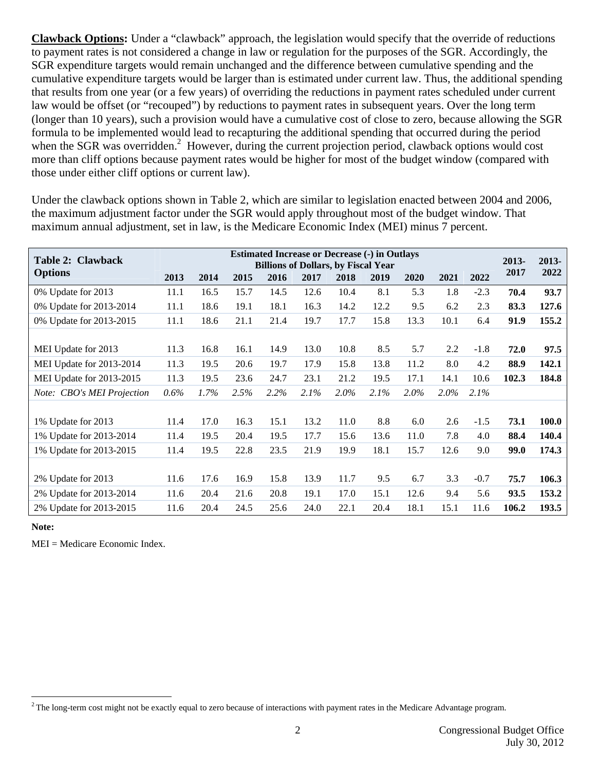**Clawback Options:** Under a "clawback" approach, the legislation would specify that the override of reductions to payment rates is not considered a change in law or regulation for the purposes of the SGR. Accordingly, the SGR expenditure targets would remain unchanged and the difference between cumulative spending and the cumulative expenditure targets would be larger than is estimated under current law. Thus, the additional spending that results from one year (or a few years) of overriding the reductions in payment rates scheduled under current law would be offset (or "recouped") by reductions to payment rates in subsequent years. Over the long term (longer than 10 years), such a provision would have a cumulative cost of close to zero, because allowing the SGR formula to be implemented would lead to recapturing the additional spending that occurred during the period when the SGR was overridden.<sup>2</sup> However, during the current projection period, clawback options would cost more than cliff options because payment rates would be higher for most of the budget window (compared with those under either cliff options or current law).

Under the clawback options shown in Table 2, which are similar to legislation enacted between 2004 and 2006, the maximum adjustment factor under the SGR would apply throughout most of the budget window. That maximum annual adjustment, set in law, is the Medicare Economic Index (MEI) minus 7 percent.

| <b>Table 2: Clawback</b>   | <b>Estimated Increase or Decrease (-) in Outlays</b><br><b>Billions of Dollars, by Fiscal Year</b> |      |      |      |      |         |      |         |      |        | 2013- | $2013 -$ |
|----------------------------|----------------------------------------------------------------------------------------------------|------|------|------|------|---------|------|---------|------|--------|-------|----------|
| <b>Options</b>             | 2013                                                                                               | 2014 | 2015 | 2016 | 2017 | 2018    | 2019 | 2020    | 2021 | 2022   | 2017  | 2022     |
| 0% Update for 2013         | 11.1                                                                                               | 16.5 | 15.7 | 14.5 | 12.6 | 10.4    | 8.1  | 5.3     | 1.8  | $-2.3$ | 70.4  | 93.7     |
| 0% Update for 2013-2014    | 11.1                                                                                               | 18.6 | 19.1 | 18.1 | 16.3 | 14.2    | 12.2 | 9.5     | 6.2  | 2.3    | 83.3  | 127.6    |
| 0% Update for 2013-2015    | 11.1                                                                                               | 18.6 | 21.1 | 21.4 | 19.7 | 17.7    | 15.8 | 13.3    | 10.1 | 6.4    | 91.9  | 155.2    |
|                            |                                                                                                    |      |      |      |      |         |      |         |      |        |       |          |
| MEI Update for 2013        | 11.3                                                                                               | 16.8 | 16.1 | 14.9 | 13.0 | 10.8    | 8.5  | 5.7     | 2.2  | $-1.8$ | 72.0  | 97.5     |
| MEI Update for 2013-2014   | 11.3                                                                                               | 19.5 | 20.6 | 19.7 | 17.9 | 15.8    | 13.8 | 11.2    | 8.0  | 4.2    | 88.9  | 142.1    |
| MEI Update for 2013-2015   | 11.3                                                                                               | 19.5 | 23.6 | 24.7 | 23.1 | 21.2    | 19.5 | 17.1    | 14.1 | 10.6   | 102.3 | 184.8    |
| Note: CBO's MEI Projection | $0.6\%$                                                                                            | 1.7% | 2.5% | 2.2% | 2.1% | $2.0\%$ | 2.1% | $2.0\%$ | 2.0% | 2.1%   |       |          |
|                            |                                                                                                    |      |      |      |      |         |      |         |      |        |       |          |
| 1% Update for 2013         | 11.4                                                                                               | 17.0 | 16.3 | 15.1 | 13.2 | 11.0    | 8.8  | 6.0     | 2.6  | $-1.5$ | 73.1  | 100.0    |
| 1% Update for 2013-2014    | 11.4                                                                                               | 19.5 | 20.4 | 19.5 | 17.7 | 15.6    | 13.6 | 11.0    | 7.8  | 4.0    | 88.4  | 140.4    |
| 1% Update for 2013-2015    | 11.4                                                                                               | 19.5 | 22.8 | 23.5 | 21.9 | 19.9    | 18.1 | 15.7    | 12.6 | 9.0    | 99.0  | 174.3    |
|                            |                                                                                                    |      |      |      |      |         |      |         |      |        |       |          |
| 2% Update for 2013         | 11.6                                                                                               | 17.6 | 16.9 | 15.8 | 13.9 | 11.7    | 9.5  | 6.7     | 3.3  | $-0.7$ | 75.7  | 106.3    |
| 2% Update for 2013-2014    | 11.6                                                                                               | 20.4 | 21.6 | 20.8 | 19.1 | 17.0    | 15.1 | 12.6    | 9.4  | 5.6    | 93.5  | 153.2    |
| 2% Update for 2013-2015    | 11.6                                                                                               | 20.4 | 24.5 | 25.6 | 24.0 | 22.1    | 20.4 | 18.1    | 15.1 | 11.6   | 106.2 | 193.5    |

**Note:** 

l

MEI = Medicare Economic Index.

 $2$ <sup>2</sup> The long-term cost might not be exactly equal to zero because of interactions with payment rates in the Medicare Advantage program.